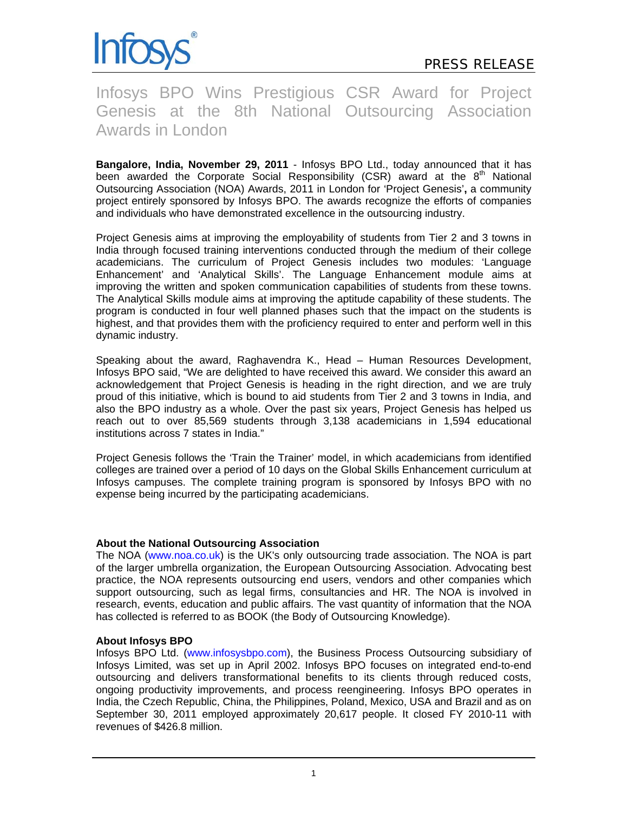

Infosys BPO Wins Prestigious CSR Award for Project Genesis at the 8th National Outsourcing Association Awards in London

**Bangalore, India, November 29, 2011** - Infosys BPO Ltd., today announced that it has been awarded the Corporate Social Responsibility (CSR) award at the  $8<sup>th</sup>$  National Outsourcing Association (NOA) Awards, 2011 in London for 'Project Genesis'**,** a community project entirely sponsored by Infosys BPO. The awards recognize the efforts of companies and individuals who have demonstrated excellence in the outsourcing industry.

Project Genesis aims at improving the employability of students from Tier 2 and 3 towns in India through focused training interventions conducted through the medium of their college academicians. The curriculum of Project Genesis includes two modules: 'Language Enhancement' and 'Analytical Skills'. The Language Enhancement module aims at improving the written and spoken communication capabilities of students from these towns. The Analytical Skills module aims at improving the aptitude capability of these students. The program is conducted in four well planned phases such that the impact on the students is highest, and that provides them with the proficiency required to enter and perform well in this dynamic industry.

Speaking about the award, Raghavendra K., Head – Human Resources Development, Infosys BPO said, "We are delighted to have received this award. We consider this award an acknowledgement that Project Genesis is heading in the right direction, and we are truly proud of this initiative, which is bound to aid students from Tier 2 and 3 towns in India, and also the BPO industry as a whole. Over the past six years, Project Genesis has helped us reach out to over 85,569 students through 3,138 academicians in 1,594 educational institutions across 7 states in India."

Project Genesis follows the 'Train the Trainer' model, in which academicians from identified colleges are trained over a period of 10 days on the Global Skills Enhancement curriculum at Infosys campuses. The complete training program is sponsored by Infosys BPO with no expense being incurred by the participating academicians.

### **About the National Outsourcing Association**

The NOA (www.noa.co.uk) is the UK's only outsourcing trade association. The NOA is part of the larger umbrella organization, the European Outsourcing Association. Advocating best practice, the NOA represents outsourcing end users, vendors and other companies which support outsourcing, such as legal firms, consultancies and HR. The NOA is involved in research, events, education and public affairs. The vast quantity of information that the NOA has collected is referred to as BOOK (the Body of Outsourcing Knowledge).

### **About Infosys BPO**

Infosys BPO Ltd. (www.infosysbpo.com), the Business Process Outsourcing subsidiary of Infosys Limited, was set up in April 2002. Infosys BPO focuses on integrated end-to-end outsourcing and delivers transformational benefits to its clients through reduced costs, ongoing productivity improvements, and process reengineering. Infosys BPO operates in India, the Czech Republic, China, the Philippines, Poland, Mexico, USA and Brazil and as on September 30, 2011 employed approximately 20,617 people. It closed FY 2010-11 with revenues of \$426.8 million.